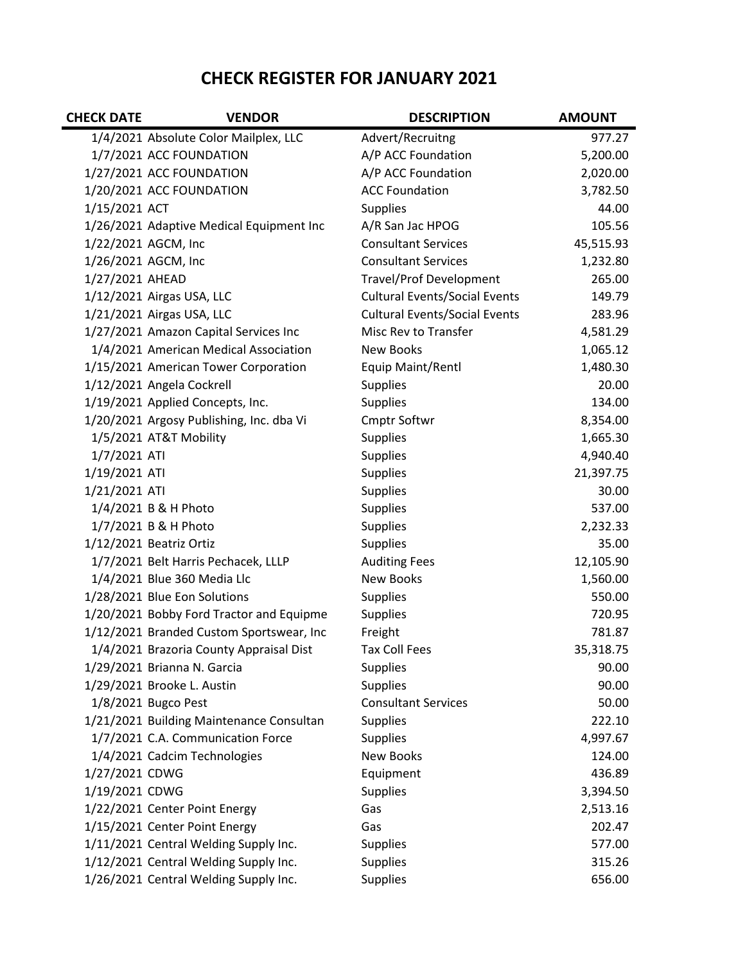## **CHECK REGISTER FOR JANUARY 2021**

| <b>CHECK DATE</b> | <b>VENDOR</b>                            | <b>DESCRIPTION</b>                   | <b>AMOUNT</b> |
|-------------------|------------------------------------------|--------------------------------------|---------------|
|                   | 1/4/2021 Absolute Color Mailplex, LLC    | Advert/Recruitng                     | 977.27        |
|                   | 1/7/2021 ACC FOUNDATION                  | A/P ACC Foundation                   | 5,200.00      |
|                   | 1/27/2021 ACC FOUNDATION                 | A/P ACC Foundation                   | 2,020.00      |
|                   | 1/20/2021 ACC FOUNDATION                 | <b>ACC Foundation</b>                | 3,782.50      |
| 1/15/2021 ACT     |                                          | <b>Supplies</b>                      | 44.00         |
|                   | 1/26/2021 Adaptive Medical Equipment Inc | A/R San Jac HPOG                     | 105.56        |
|                   | 1/22/2021 AGCM, Inc                      | <b>Consultant Services</b>           | 45,515.93     |
|                   | 1/26/2021 AGCM, Inc                      | <b>Consultant Services</b>           | 1,232.80      |
| 1/27/2021 AHEAD   |                                          | <b>Travel/Prof Development</b>       | 265.00        |
|                   | 1/12/2021 Airgas USA, LLC                | <b>Cultural Events/Social Events</b> | 149.79        |
|                   | 1/21/2021 Airgas USA, LLC                | <b>Cultural Events/Social Events</b> | 283.96        |
|                   | 1/27/2021 Amazon Capital Services Inc    | Misc Rev to Transfer                 | 4,581.29      |
|                   | 1/4/2021 American Medical Association    | <b>New Books</b>                     | 1,065.12      |
|                   | 1/15/2021 American Tower Corporation     | Equip Maint/Rentl                    | 1,480.30      |
|                   | 1/12/2021 Angela Cockrell                | <b>Supplies</b>                      | 20.00         |
|                   | 1/19/2021 Applied Concepts, Inc.         | <b>Supplies</b>                      | 134.00        |
|                   | 1/20/2021 Argosy Publishing, Inc. dba Vi | <b>Cmptr Softwr</b>                  | 8,354.00      |
|                   | 1/5/2021 AT&T Mobility                   | <b>Supplies</b>                      | 1,665.30      |
| 1/7/2021 ATI      |                                          | <b>Supplies</b>                      | 4,940.40      |
| 1/19/2021 ATI     |                                          | <b>Supplies</b>                      | 21,397.75     |
| 1/21/2021 ATI     |                                          | <b>Supplies</b>                      | 30.00         |
|                   | 1/4/2021 B & H Photo                     | <b>Supplies</b>                      | 537.00        |
|                   | 1/7/2021 B & H Photo                     | <b>Supplies</b>                      | 2,232.33      |
|                   | 1/12/2021 Beatriz Ortiz                  | <b>Supplies</b>                      | 35.00         |
|                   | 1/7/2021 Belt Harris Pechacek, LLLP      | <b>Auditing Fees</b>                 | 12,105.90     |
|                   | 1/4/2021 Blue 360 Media Llc              | <b>New Books</b>                     | 1,560.00      |
|                   | 1/28/2021 Blue Eon Solutions             | <b>Supplies</b>                      | 550.00        |
|                   | 1/20/2021 Bobby Ford Tractor and Equipme | <b>Supplies</b>                      | 720.95        |
|                   | 1/12/2021 Branded Custom Sportswear, Inc | Freight                              | 781.87        |
|                   | 1/4/2021 Brazoria County Appraisal Dist  | <b>Tax Coll Fees</b>                 | 35,318.75     |
|                   | 1/29/2021 Brianna N. Garcia              | <b>Supplies</b>                      | 90.00         |
|                   | 1/29/2021 Brooke L. Austin               | <b>Supplies</b>                      | 90.00         |
|                   | 1/8/2021 Bugco Pest                      | <b>Consultant Services</b>           | 50.00         |
|                   | 1/21/2021 Building Maintenance Consultan | <b>Supplies</b>                      | 222.10        |
|                   | 1/7/2021 C.A. Communication Force        | <b>Supplies</b>                      | 4,997.67      |
|                   | 1/4/2021 Cadcim Technologies             | <b>New Books</b>                     | 124.00        |
| 1/27/2021 CDWG    |                                          | Equipment                            | 436.89        |
| 1/19/2021 CDWG    |                                          | <b>Supplies</b>                      | 3,394.50      |
|                   | 1/22/2021 Center Point Energy            | Gas                                  | 2,513.16      |
|                   | 1/15/2021 Center Point Energy            | Gas                                  | 202.47        |
|                   | 1/11/2021 Central Welding Supply Inc.    | <b>Supplies</b>                      | 577.00        |
|                   | 1/12/2021 Central Welding Supply Inc.    | <b>Supplies</b>                      | 315.26        |
|                   | 1/26/2021 Central Welding Supply Inc.    | <b>Supplies</b>                      | 656.00        |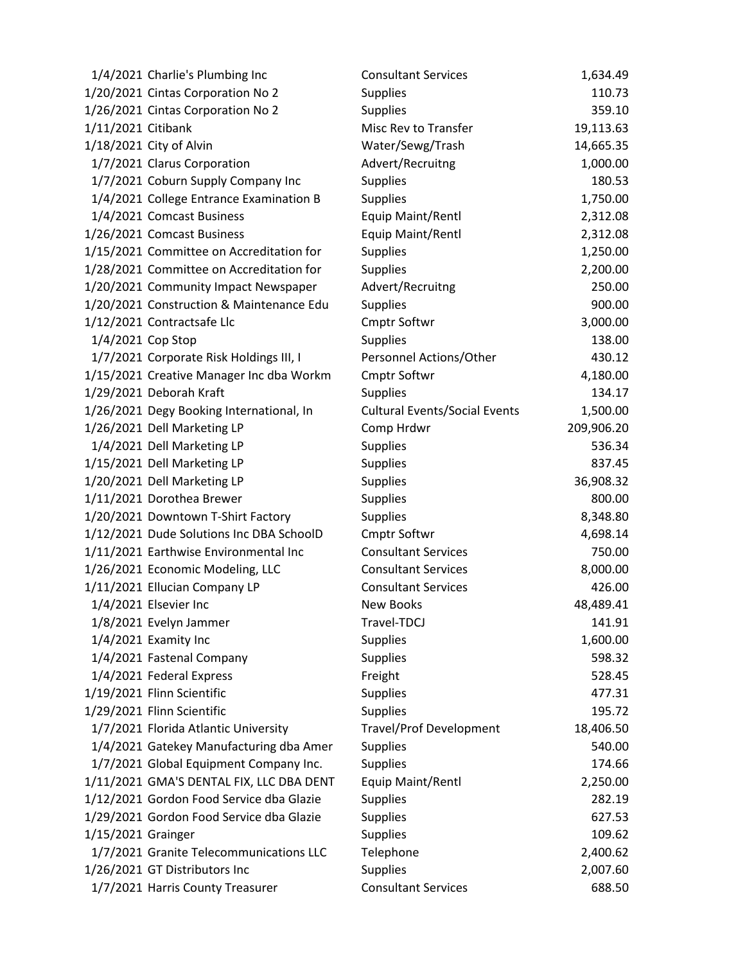|                    | 1/4/2021 Charlie's Plumbing Inc          | <b>Consultant Services</b>           | 1,634.49   |
|--------------------|------------------------------------------|--------------------------------------|------------|
|                    | 1/20/2021 Cintas Corporation No 2        | <b>Supplies</b>                      | 110.73     |
|                    | 1/26/2021 Cintas Corporation No 2        | <b>Supplies</b>                      | 359.10     |
| 1/11/2021 Citibank |                                          | Misc Rev to Transfer                 | 19,113.63  |
|                    | 1/18/2021 City of Alvin                  | Water/Sewg/Trash                     | 14,665.35  |
|                    | 1/7/2021 Clarus Corporation              | Advert/Recruitng                     | 1,000.00   |
|                    | 1/7/2021 Coburn Supply Company Inc       | <b>Supplies</b>                      | 180.53     |
|                    | 1/4/2021 College Entrance Examination B  | Supplies                             | 1,750.00   |
|                    | 1/4/2021 Comcast Business                | Equip Maint/Rentl                    | 2,312.08   |
|                    | 1/26/2021 Comcast Business               | Equip Maint/Rentl                    | 2,312.08   |
|                    | 1/15/2021 Committee on Accreditation for | <b>Supplies</b>                      | 1,250.00   |
|                    | 1/28/2021 Committee on Accreditation for | Supplies                             | 2,200.00   |
|                    | 1/20/2021 Community Impact Newspaper     | Advert/Recruitng                     | 250.00     |
|                    | 1/20/2021 Construction & Maintenance Edu | <b>Supplies</b>                      | 900.00     |
|                    | 1/12/2021 Contractsafe Llc               | <b>Cmptr Softwr</b>                  | 3,000.00   |
|                    | 1/4/2021 Cop Stop                        | <b>Supplies</b>                      | 138.00     |
|                    | 1/7/2021 Corporate Risk Holdings III, I  | Personnel Actions/Other              | 430.12     |
|                    | 1/15/2021 Creative Manager Inc dba Workm | <b>Cmptr Softwr</b>                  | 4,180.00   |
|                    | 1/29/2021 Deborah Kraft                  | <b>Supplies</b>                      | 134.17     |
|                    | 1/26/2021 Degy Booking International, In | <b>Cultural Events/Social Events</b> | 1,500.00   |
|                    | 1/26/2021 Dell Marketing LP              | Comp Hrdwr                           | 209,906.20 |
|                    | 1/4/2021 Dell Marketing LP               | <b>Supplies</b>                      | 536.34     |
|                    | 1/15/2021 Dell Marketing LP              | <b>Supplies</b>                      | 837.45     |
|                    | 1/20/2021 Dell Marketing LP              | <b>Supplies</b>                      | 36,908.32  |
|                    | 1/11/2021 Dorothea Brewer                | Supplies                             | 800.00     |
|                    | 1/20/2021 Downtown T-Shirt Factory       | <b>Supplies</b>                      | 8,348.80   |
|                    | 1/12/2021 Dude Solutions Inc DBA SchoolD | Cmptr Softwr                         | 4,698.14   |
|                    | 1/11/2021 Earthwise Environmental Inc    | <b>Consultant Services</b>           | 750.00     |
|                    | 1/26/2021 Economic Modeling, LLC         | <b>Consultant Services</b>           | 8,000.00   |
|                    | 1/11/2021 Ellucian Company LP            | <b>Consultant Services</b>           | 426.00     |
|                    | 1/4/2021 Elsevier Inc                    | <b>New Books</b>                     | 48,489.41  |
|                    | 1/8/2021 Evelyn Jammer                   | Travel-TDCJ                          | 141.91     |
|                    | 1/4/2021 Examity Inc                     | <b>Supplies</b>                      | 1,600.00   |
|                    | 1/4/2021 Fastenal Company                | <b>Supplies</b>                      | 598.32     |
|                    | 1/4/2021 Federal Express                 | Freight                              | 528.45     |
|                    | 1/19/2021 Flinn Scientific               | <b>Supplies</b>                      | 477.31     |
|                    | 1/29/2021 Flinn Scientific               | <b>Supplies</b>                      | 195.72     |
|                    | 1/7/2021 Florida Atlantic University     | <b>Travel/Prof Development</b>       | 18,406.50  |
|                    | 1/4/2021 Gatekey Manufacturing dba Amer  | <b>Supplies</b>                      | 540.00     |
|                    | 1/7/2021 Global Equipment Company Inc.   | <b>Supplies</b>                      | 174.66     |
|                    | 1/11/2021 GMA'S DENTAL FIX, LLC DBA DENT | Equip Maint/Rentl                    | 2,250.00   |
|                    | 1/12/2021 Gordon Food Service dba Glazie | <b>Supplies</b>                      | 282.19     |
|                    | 1/29/2021 Gordon Food Service dba Glazie | <b>Supplies</b>                      | 627.53     |
| 1/15/2021 Grainger |                                          | Supplies                             | 109.62     |
|                    | 1/7/2021 Granite Telecommunications LLC  | Telephone                            | 2,400.62   |
|                    | 1/26/2021 GT Distributors Inc            | <b>Supplies</b>                      | 2,007.60   |
|                    | 1/7/2021 Harris County Treasurer         | <b>Consultant Services</b>           | 688.50     |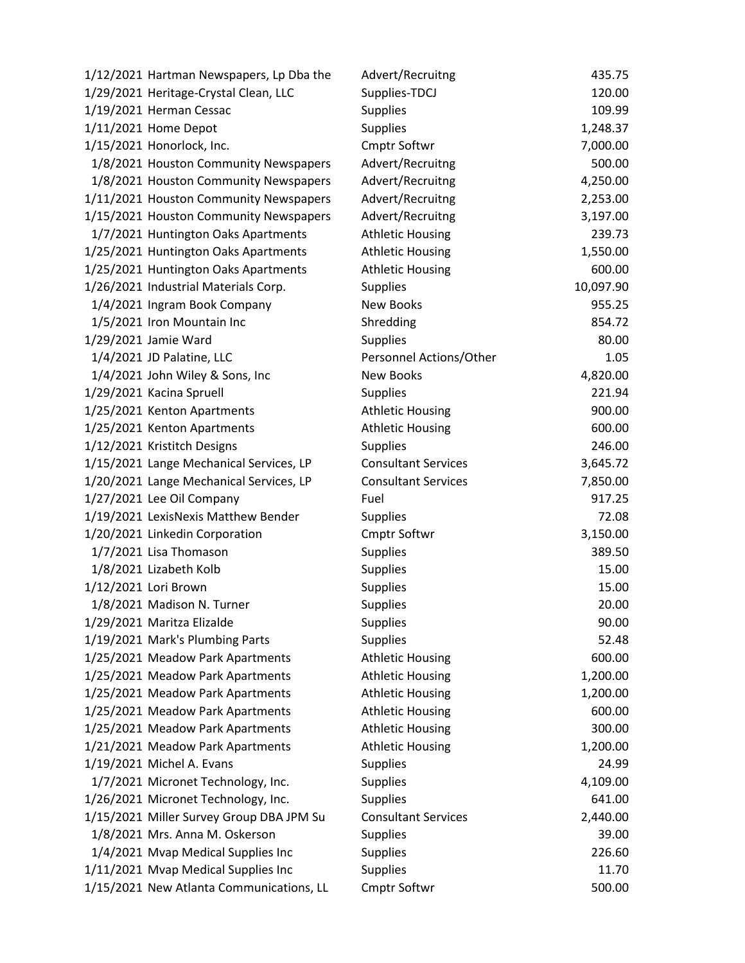| 1/12/2021 Hartman Newspapers, Lp Dba the | Advert/Recruitng           | 435.75    |
|------------------------------------------|----------------------------|-----------|
| 1/29/2021 Heritage-Crystal Clean, LLC    | Supplies-TDCJ              | 120.00    |
| 1/19/2021 Herman Cessac                  | <b>Supplies</b>            | 109.99    |
| 1/11/2021 Home Depot                     | <b>Supplies</b>            | 1,248.37  |
| 1/15/2021 Honorlock, Inc.                | Cmptr Softwr               | 7,000.00  |
| 1/8/2021 Houston Community Newspapers    | Advert/Recruitng           | 500.00    |
| 1/8/2021 Houston Community Newspapers    | Advert/Recruitng           | 4,250.00  |
| 1/11/2021 Houston Community Newspapers   | Advert/Recruitng           | 2,253.00  |
| 1/15/2021 Houston Community Newspapers   | Advert/Recruitng           | 3,197.00  |
| 1/7/2021 Huntington Oaks Apartments      | <b>Athletic Housing</b>    | 239.73    |
| 1/25/2021 Huntington Oaks Apartments     | <b>Athletic Housing</b>    | 1,550.00  |
| 1/25/2021 Huntington Oaks Apartments     | <b>Athletic Housing</b>    | 600.00    |
| 1/26/2021 Industrial Materials Corp.     | <b>Supplies</b>            | 10,097.90 |
| 1/4/2021 Ingram Book Company             | New Books                  | 955.25    |
| 1/5/2021 Iron Mountain Inc               | Shredding                  | 854.72    |
| 1/29/2021 Jamie Ward                     | <b>Supplies</b>            | 80.00     |
| 1/4/2021 JD Palatine, LLC                | Personnel Actions/Other    | 1.05      |
| 1/4/2021 John Wiley & Sons, Inc          | <b>New Books</b>           | 4,820.00  |
| 1/29/2021 Kacina Spruell                 | <b>Supplies</b>            | 221.94    |
| 1/25/2021 Kenton Apartments              | <b>Athletic Housing</b>    | 900.00    |
| 1/25/2021 Kenton Apartments              | <b>Athletic Housing</b>    | 600.00    |
| 1/12/2021 Kristitch Designs              | <b>Supplies</b>            | 246.00    |
| 1/15/2021 Lange Mechanical Services, LP  | <b>Consultant Services</b> | 3,645.72  |
| 1/20/2021 Lange Mechanical Services, LP  | <b>Consultant Services</b> | 7,850.00  |
| 1/27/2021 Lee Oil Company                | Fuel                       | 917.25    |
| 1/19/2021 LexisNexis Matthew Bender      | <b>Supplies</b>            | 72.08     |
| 1/20/2021 Linkedin Corporation           | Cmptr Softwr               | 3,150.00  |
| 1/7/2021 Lisa Thomason                   | <b>Supplies</b>            | 389.50    |
| 1/8/2021 Lizabeth Kolb                   | Supplies                   | 15.00     |
| 1/12/2021 Lori Brown                     | <b>Supplies</b>            | 15.00     |
| 1/8/2021 Madison N. Turner               | <b>Supplies</b>            | 20.00     |
| 1/29/2021 Maritza Elizalde               | <b>Supplies</b>            | 90.00     |
| 1/19/2021 Mark's Plumbing Parts          | Supplies                   | 52.48     |
| 1/25/2021 Meadow Park Apartments         | <b>Athletic Housing</b>    | 600.00    |
| 1/25/2021 Meadow Park Apartments         | <b>Athletic Housing</b>    | 1,200.00  |
| 1/25/2021 Meadow Park Apartments         | <b>Athletic Housing</b>    | 1,200.00  |
| 1/25/2021 Meadow Park Apartments         | <b>Athletic Housing</b>    | 600.00    |
| 1/25/2021 Meadow Park Apartments         | <b>Athletic Housing</b>    | 300.00    |
| 1/21/2021 Meadow Park Apartments         | <b>Athletic Housing</b>    | 1,200.00  |
| 1/19/2021 Michel A. Evans                | <b>Supplies</b>            | 24.99     |
| 1/7/2021 Micronet Technology, Inc.       | Supplies                   | 4,109.00  |
| 1/26/2021 Micronet Technology, Inc.      | <b>Supplies</b>            | 641.00    |
| 1/15/2021 Miller Survey Group DBA JPM Su | <b>Consultant Services</b> | 2,440.00  |
| 1/8/2021 Mrs. Anna M. Oskerson           | <b>Supplies</b>            | 39.00     |
| 1/4/2021 Mvap Medical Supplies Inc       | Supplies                   | 226.60    |
| 1/11/2021 Mvap Medical Supplies Inc      | <b>Supplies</b>            | 11.70     |
| 1/15/2021 New Atlanta Communications, LL | Cmptr Softwr               | 500.00    |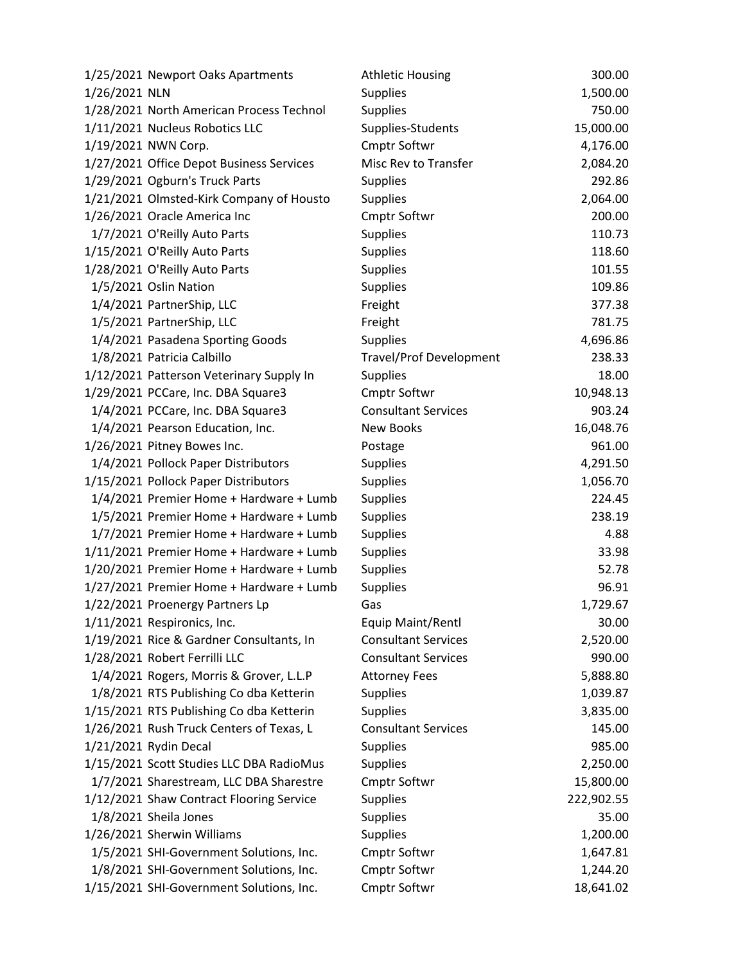|               | 1/25/2021 Newport Oaks Apartments        | <b>Athletic Housing</b>        | 300.00     |
|---------------|------------------------------------------|--------------------------------|------------|
| 1/26/2021 NLN |                                          | <b>Supplies</b>                | 1,500.00   |
|               | 1/28/2021 North American Process Technol | <b>Supplies</b>                | 750.00     |
|               | 1/11/2021 Nucleus Robotics LLC           | Supplies-Students              | 15,000.00  |
|               | 1/19/2021 NWN Corp.                      | <b>Cmptr Softwr</b>            | 4,176.00   |
|               | 1/27/2021 Office Depot Business Services | Misc Rev to Transfer           | 2,084.20   |
|               | 1/29/2021 Ogburn's Truck Parts           | <b>Supplies</b>                | 292.86     |
|               | 1/21/2021 Olmsted-Kirk Company of Housto | Supplies                       | 2,064.00   |
|               | 1/26/2021 Oracle America Inc             | <b>Cmptr Softwr</b>            | 200.00     |
|               | 1/7/2021 O'Reilly Auto Parts             | <b>Supplies</b>                | 110.73     |
|               | 1/15/2021 O'Reilly Auto Parts            | <b>Supplies</b>                | 118.60     |
|               | 1/28/2021 O'Reilly Auto Parts            | Supplies                       | 101.55     |
|               | 1/5/2021 Oslin Nation                    | <b>Supplies</b>                | 109.86     |
|               | 1/4/2021 PartnerShip, LLC                | Freight                        | 377.38     |
|               | 1/5/2021 PartnerShip, LLC                | Freight                        | 781.75     |
|               | 1/4/2021 Pasadena Sporting Goods         | <b>Supplies</b>                | 4,696.86   |
|               | 1/8/2021 Patricia Calbillo               | <b>Travel/Prof Development</b> | 238.33     |
|               | 1/12/2021 Patterson Veterinary Supply In | <b>Supplies</b>                | 18.00      |
|               | 1/29/2021 PCCare, Inc. DBA Square3       | Cmptr Softwr                   | 10,948.13  |
|               | 1/4/2021 PCCare, Inc. DBA Square3        | <b>Consultant Services</b>     | 903.24     |
|               | 1/4/2021 Pearson Education, Inc.         | <b>New Books</b>               | 16,048.76  |
|               | 1/26/2021 Pitney Bowes Inc.              | Postage                        | 961.00     |
|               | 1/4/2021 Pollock Paper Distributors      | <b>Supplies</b>                | 4,291.50   |
|               | 1/15/2021 Pollock Paper Distributors     | <b>Supplies</b>                | 1,056.70   |
|               | 1/4/2021 Premier Home + Hardware + Lumb  | <b>Supplies</b>                | 224.45     |
|               | 1/5/2021 Premier Home + Hardware + Lumb  | <b>Supplies</b>                | 238.19     |
|               | 1/7/2021 Premier Home + Hardware + Lumb  | Supplies                       | 4.88       |
|               | 1/11/2021 Premier Home + Hardware + Lumb | <b>Supplies</b>                | 33.98      |
|               | 1/20/2021 Premier Home + Hardware + Lumb | <b>Supplies</b>                | 52.78      |
|               | 1/27/2021 Premier Home + Hardware + Lumb | Supplies                       | 96.91      |
|               | 1/22/2021 Proenergy Partners Lp          | Gas                            | 1,729.67   |
|               | 1/11/2021 Respironics, Inc.              | Equip Maint/Rentl              | 30.00      |
|               | 1/19/2021 Rice & Gardner Consultants, In | <b>Consultant Services</b>     | 2,520.00   |
|               | 1/28/2021 Robert Ferrilli LLC            | <b>Consultant Services</b>     | 990.00     |
|               | 1/4/2021 Rogers, Morris & Grover, L.L.P  | <b>Attorney Fees</b>           | 5,888.80   |
|               | 1/8/2021 RTS Publishing Co dba Ketterin  | <b>Supplies</b>                | 1,039.87   |
|               | 1/15/2021 RTS Publishing Co dba Ketterin | <b>Supplies</b>                | 3,835.00   |
|               | 1/26/2021 Rush Truck Centers of Texas, L | <b>Consultant Services</b>     | 145.00     |
|               | 1/21/2021 Rydin Decal                    | Supplies                       | 985.00     |
|               | 1/15/2021 Scott Studies LLC DBA RadioMus | <b>Supplies</b>                | 2,250.00   |
|               | 1/7/2021 Sharestream, LLC DBA Sharestre  | Cmptr Softwr                   | 15,800.00  |
|               | 1/12/2021 Shaw Contract Flooring Service | <b>Supplies</b>                | 222,902.55 |
|               | 1/8/2021 Sheila Jones                    | Supplies                       | 35.00      |
|               | 1/26/2021 Sherwin Williams               | Supplies                       | 1,200.00   |
|               | 1/5/2021 SHI-Government Solutions, Inc.  | <b>Cmptr Softwr</b>            | 1,647.81   |
|               | 1/8/2021 SHI-Government Solutions, Inc.  | Cmptr Softwr                   | 1,244.20   |
|               | 1/15/2021 SHI-Government Solutions, Inc. | Cmptr Softwr                   | 18,641.02  |